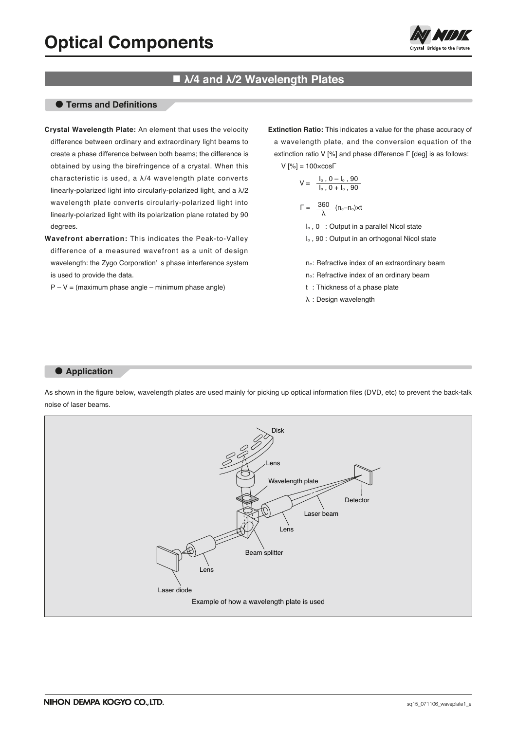

## $\blacksquare$  **λ/4 and λ/2 Wavelength Plates**

## l **Terms and Definitions**

- **Crystal Wavelength Plate:** An element that uses the velocity difference between ordinary and extraordinary light beams to create a phase difference between both beams; the difference is obtained by using the birefringence of a crystal. When this characteristic is used, a λ/4 wavelength plate converts linearly-polarized light into circularly-polarized light, and a λ/2 wavelength plate converts circularly-polarized light into linearly-polarized light with its polarization plane rotated by 90 degrees.
- **Wavefront aberration:** This indicates the Peak-to-Valley difference of a measured wavefront as a unit of design wavelength: the Zygo Corporation' s phase interference system is used to provide the data.
	- $P V =$  (maximum phase angle minimum phase angle)

**Extinction Ratio:** This indicates a value for the phase accuracy of a wavelength plate, and the conversion equation of the extinction ratio V [%] and phase difference Г [deg] is as follows: V [%] = 100×cosГ

$$
V = \frac{I_0, 0 - I_0, 90}{I_0, 0 + I_0, 90}
$$

$$
\Gamma = \frac{360}{\lambda} (n_{e} - n_{o}) \times 1
$$

Io , 0 : Output in a parallel Nicol state

Io , 90 : Output in an orthogonal Nicol state

- ne: Refractive index of an extraordinary beam
- n<sub>o</sub>: Refractive index of an ordinary beam
- t : Thickness of a phase plate
- λ : Design wavelength

### $\bullet$  Application

As shown in the figure below, wavelength plates are used mainly for picking up optical information files (DVD, etc) to prevent the back-talk noise of laser beams.

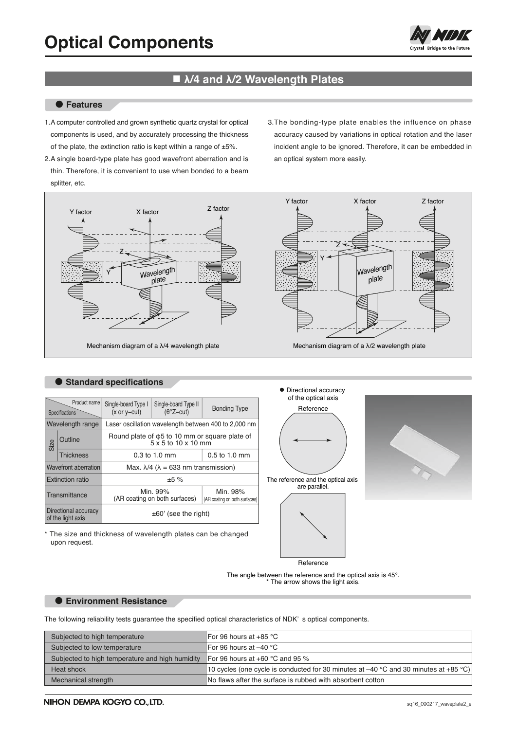

# $\blacksquare$  **λ/4 and λ/2 Wavelength Plates**

#### l **Features**

- 1. A computer controlled and grown synthetic quartz crystal for optical components is used, and by accurately processing the thickness of the plate, the extinction ratio is kept within a range of  $\pm 5\%$ .
- 2. A single board-type plate has good wavefront aberration and is thin. Therefore, it is convenient to use when bonded to a beam splitter, etc.
- 3. The bonding-type plate enables the influence on phase accuracy caused by variations in optical rotation and the laser incident angle to be ignored. Therefore, it can be embedded in an optical system more easily.



### $\bullet$  **Standard specifications**

|                                           | Product name<br>Specifications | Single-board Type I<br>$(x or y-cut)$                                      | Single-board Type II<br>$(\theta^{\circ}Z$ –cut) | <b>Bonding Type</b>                       |  |
|-------------------------------------------|--------------------------------|----------------------------------------------------------------------------|--------------------------------------------------|-------------------------------------------|--|
| Wavelength range                          |                                | Laser oscillation wavelength between 400 to 2,000 nm                       |                                                  |                                           |  |
| Size                                      | Outline                        | Round plate of $\phi$ 5 to 10 mm or square plate of<br>5 x 5 to 10 x 10 mm |                                                  |                                           |  |
|                                           | <b>Thickness</b>               | $0.3$ to 1.0 mm                                                            |                                                  | $0.5$ to 1.0 mm                           |  |
| Wavefront aberration                      |                                | Max. $\lambda$ /4 ( $\lambda$ = 633 nm transmission)                       |                                                  |                                           |  |
| Extinction ratio                          |                                | ±5%                                                                        |                                                  |                                           |  |
| Transmittance                             |                                |                                                                            | Min. 99%<br>(AR coating on both surfaces)        | Min. 98%<br>(AR coating on both surfaces) |  |
| Directional accuracy<br>of the light axis |                                | $\pm 60'$ (see the right)                                                  |                                                  |                                           |  |

\* The size and thickness of wavelength plates can be changed upon request.

![](_page_1_Figure_11.jpeg)

![](_page_1_Picture_12.jpeg)

The angle between the reference and the optical axis is 45°. \* The arrow shows the light axis.

## $\bullet$  **Environment Resistance**

The following reliability tests guarantee the specified optical characteristics of NDK' s optical components.

| Subjected to high temperature                   | l For 96 hours at +85 °C l                                                           |
|-------------------------------------------------|--------------------------------------------------------------------------------------|
| Subjected to low temperature                    | l For 96 hours at –40 °C                                                             |
| Subjected to high temperature and high humidity | For 96 hours at +60 °C and 95 %                                                      |
| Heat shock                                      | 10 cycles (one cycle is conducted for 30 minutes at -40 °C and 30 minutes at +85 °C) |
| Mechanical strength                             | No flaws after the surface is rubbed with absorbent cotton                           |